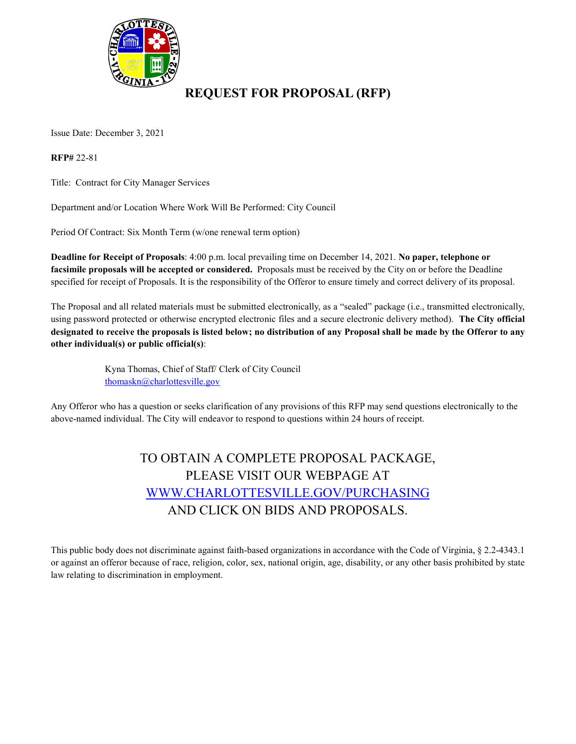

### **REQUEST FOR PROPOSAL (RFP)**

Issue Date: December 3, 2021

**RFP#** 22-81

Title: Contract for City Manager Services

Department and/or Location Where Work Will Be Performed: City Council

Period Of Contract: Six Month Term (w/one renewal term option)

**Deadline for Receipt of Proposals**: 4:00 p.m. local prevailing time on December 14, 2021. **No paper, telephone or facsimile proposals will be accepted or considered.** Proposals must be received by the City on or before the Deadline specified for receipt of Proposals. It is the responsibility of the Offeror to ensure timely and correct delivery of its proposal.

The Proposal and all related materials must be submitted electronically, as a "sealed" package (i.e., transmitted electronically, using password protected or otherwise encrypted electronic files and a secure electronic delivery method). **The City official designated to receive the proposals is listed below; no distribution of any Proposal shall be made by the Offeror to any other individual(s) or public official(s)**:

> Kyna Thomas, Chief of Staff/ Clerk of City Council [thomaskn@charlottesville.gov](mailto:thomaskn@charlottesville.gov)

Any Offeror who has a question or seeks clarification of any provisions of this RFP may send questions electronically to the above-named individual. The City will endeavor to respond to questions within 24 hours of receipt.

## TO OBTAIN A COMPLETE PROPOSAL PACKAGE, PLEASE VISIT OUR WEBPAGE AT [WWW.CHARLOTTESVILLE.GOV/PURCHASING](http://www.charlottesville.gov/PURCHASING) AND CLICK ON BIDS AND PROPOSALS.

This public body does not discriminate against faith-based organizations in accordance with the Code of Virginia, § 2.2-4343.1 or against an offeror because of race, religion, color, sex, national origin, age, disability, or any other basis prohibited by state law relating to discrimination in employment.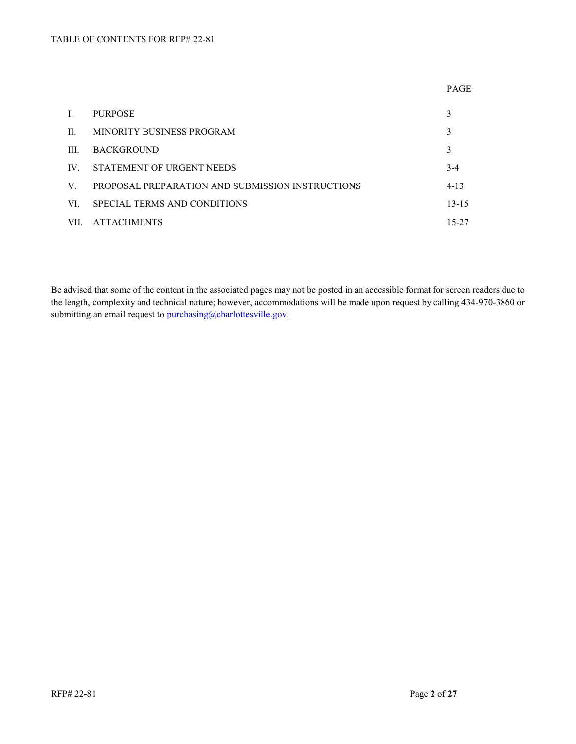|         |                                                  | <b>PAGE</b> |
|---------|--------------------------------------------------|-------------|
| Ι.      | <b>PURPOSE</b>                                   | 3           |
| $\Pi$ . | MINORITY BUSINESS PROGRAM                        | 3           |
| HI.     | <b>BACKGROUND</b>                                | 3           |
| IV.     | STATEMENT OF URGENT NEEDS                        | $3-4$       |
| V.      | PROPOSAL PREPARATION AND SUBMISSION INSTRUCTIONS | $4 - 13$    |
| VL.     | SPECIAL TERMS AND CONDITIONS                     | $13 - 15$   |
| VII.    | <b>ATTACHMENTS</b>                               | 15-27       |

Be advised that some of the content in the associated pages may not be posted in an accessible format for screen readers due to the length, complexity and technical nature; however, accommodations will be made upon request by calling 434-970-3860 or submitting an email request to [purchasing@charlottesville.gov.](mailto:purchasing@charlottesville.gov)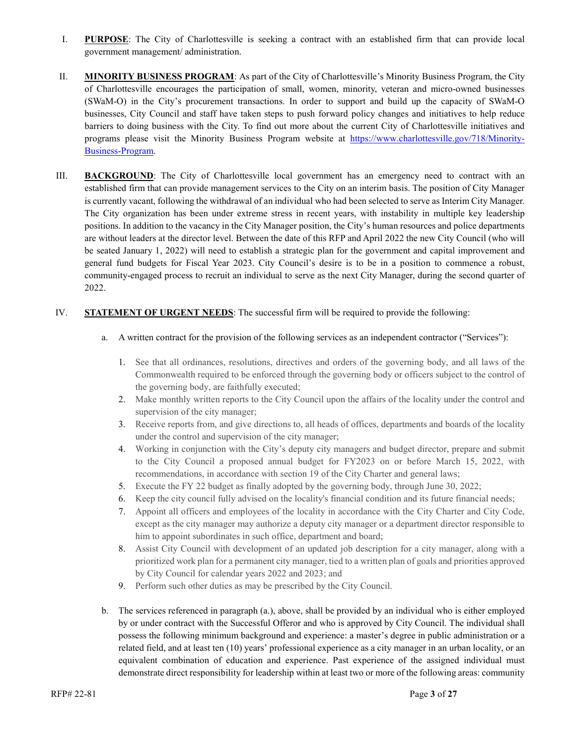- I. **PURPOSE**: The City of Charlottesville is seeking a contract with an established firm that can provide local government management/ administration.
- II. **MINORITY BUSINESS PROGRAM**: As part of the City of Charlottesville's Minority Business Program, the City of Charlottesville encourages the participation of small, women, minority, veteran and micro-owned businesses (SWaM-O) in the City's procurement transactions. In order to support and build up the capacity of SWaM-O businesses, City Council and staff have taken steps to push forward policy changes and initiatives to help reduce barriers to doing business with the City. To find out more about the current City of Charlottesville initiatives and programs please visit the Minority Business Program website at [https://www.charlottesville.gov/718/Minority-](https://www.charlottesville.gov/718/Minority-Business-Program)[Business-Program.](https://www.charlottesville.gov/718/Minority-Business-Program)
- III. **BACKGROUND**: The City of Charlottesville local government has an emergency need to contract with an established firm that can provide management services to the City on an interim basis. The position of City Manager is currently vacant, following the withdrawal of an individual who had been selected to serve as Interim City Manager. The City organization has been under extreme stress in recent years, with instability in multiple key leadership positions. In addition to the vacancy in the City Manager position, the City's human resources and police departments are without leaders at the director level. Between the date of this RFP and April 2022 the new City Council (who will be seated January 1, 2022) will need to establish a strategic plan for the government and capital improvement and general fund budgets for Fiscal Year 2023. City Council's desire is to be in a position to commence a robust, community-engaged process to recruit an individual to serve as the next City Manager, during the second quarter of 2022.

#### IV. **STATEMENT OF URGENT NEEDS**: The successful firm will be required to provide the following:

- a. A written contract for the provision of the following services as an independent contractor ("Services"):
	- 1. See that all ordinances, resolutions, directives and orders of the governing body, and all laws of the Commonwealth required to be enforced through the governing body or officers subject to the control of the governing body, are faithfully executed;
	- 2. Make monthly written reports to the City Council upon the affairs of the locality under the control and supervision of the city manager;
	- 3. Receive reports from, and give directions to, all heads of offices, departments and boards of the locality under the control and supervision of the city manager;
	- 4. Working in conjunction with the City's deputy city managers and budget director, prepare and submit to the City Council a proposed annual budget for FY2023 on or before March 15, 2022, with recommendations, in accordance with section 19 of the City Charter and general laws;
	- 5. Execute the FY 22 budget as finally adopted by the governing body, through June 30, 2022;
	- 6. Keep the city council fully advised on the locality's financial condition and its future financial needs;
	- 7. Appoint all officers and employees of the locality in accordance with the City Charter and City Code, except as the city manager may authorize a deputy city manager or a department director responsible to him to appoint subordinates in such office, department and board;
	- 8. Assist City Council with development of an updated job description for a city manager, along with a prioritized work plan for a permanent city manager, tied to a written plan of goals and priorities approved by City Council for calendar years 2022 and 2023; and
	- 9. Perform such other duties as may be prescribed by the City Council.
- b. The services referenced in paragraph (a.), above, shall be provided by an individual who is either employed by or under contract with the Successful Offeror and who is approved by City Council. The individual shall possess the following minimum background and experience: a master's degree in public administration or a related field, and at least ten (10) years' professional experience as a city manager in an urban locality, or an equivalent combination of education and experience. Past experience of the assigned individual must demonstrate direct responsibility for leadership within at least two or more of the following areas: community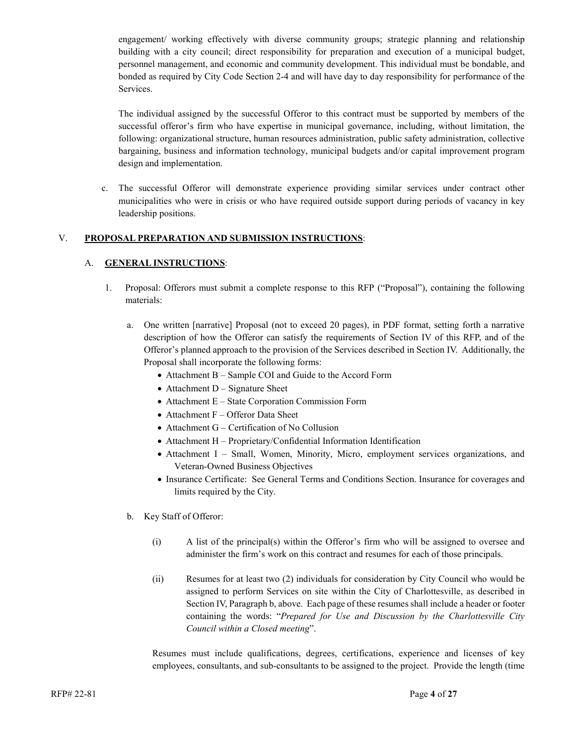engagement/ working effectively with diverse community groups; strategic planning and relationship building with a city council; direct responsibility for preparation and execution of a municipal budget, personnel management, and economic and community development. This individual must be bondable, and bonded as required by City Code Section 2-4 and will have day to day responsibility for performance of the Services.

The individual assigned by the successful Offeror to this contract must be supported by members of the successful offeror's firm who have expertise in municipal governance, including, without limitation, the following: organizational structure, human resources administration, public safety administration, collective bargaining, business and information technology, municipal budgets and/or capital improvement program design and implementation.

c. The successful Offeror will demonstrate experience providing similar services under contract other municipalities who were in crisis or who have required outside support during periods of vacancy in key leadership positions.

#### V. **PROPOSAL PREPARATION AND SUBMISSION INSTRUCTIONS**:

#### A. **GENERAL INSTRUCTIONS**:

- 1. Proposal: Offerors must submit a complete response to this RFP ("Proposal"), containing the following materials:
	- a. One written [narrative] Proposal (not to exceed 20 pages), in PDF format, setting forth a narrative description of how the Offeror can satisfy the requirements of Section IV of this RFP, and of the Offeror's planned approach to the provision of the Services described in Section IV. Additionally, the Proposal shall incorporate the following forms:
		- Attachment B Sample COI and Guide to the Accord Form
		- Attachment  $D -$  Signature Sheet
		- Attachment E State Corporation Commission Form
		- Attachment F Offeror Data Sheet
		- Attachment G Certification of No Collusion
		- Attachment H Proprietary/Confidential Information Identification
		- Attachment I Small, Women, Minority, Micro, employment services organizations, and Veteran-Owned Business Objectives
		- Insurance Certificate: See General Terms and Conditions Section. Insurance for coverages and limits required by the City.
	- b. Key Staff of Offeror:
		- (i) A list of the principal(s) within the Offeror's firm who will be assigned to oversee and administer the firm's work on this contract and resumes for each of those principals.
		- (ii) Resumes for at least two (2) individuals for consideration by City Council who would be assigned to perform Services on site within the City of Charlottesville, as described in Section IV, Paragraph b, above. Each page of these resumes shall include a header or footer containing the words: "*Prepared for Use and Discussion by the Charlottesville City Council within a Closed meeting*".

Resumes must include qualifications, degrees, certifications, experience and licenses of key employees, consultants, and sub-consultants to be assigned to the project. Provide the length (time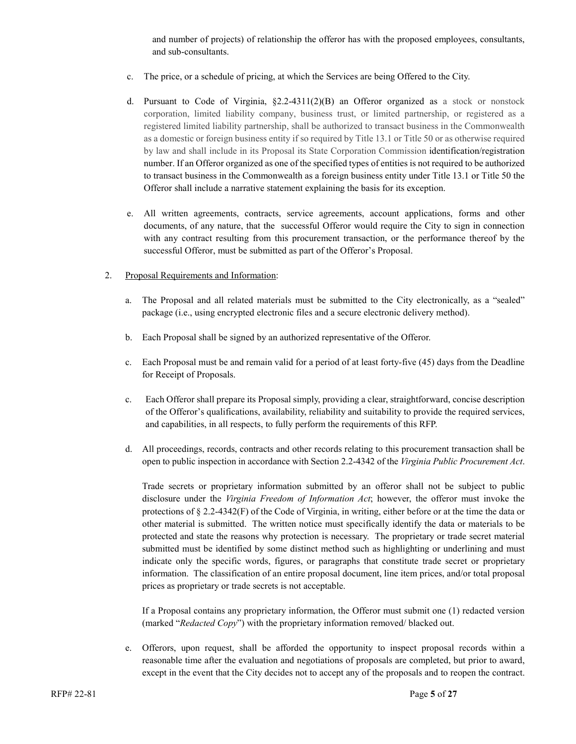and number of projects) of relationship the offeror has with the proposed employees, consultants, and sub-consultants.

- c. The price, or a schedule of pricing, at which the Services are being Offered to the City.
- d. Pursuant to Code of Virginia,  $\S2.2-4311(2)(B)$  an Offeror organized as a stock or nonstock corporation, limited liability company, business trust, or limited partnership, or registered as a registered limited liability partnership, shall be authorized to transact business in the Commonwealth as a domestic or foreign business entity if so required by Title 13.1 or Title 50 or as otherwise required by law and shall include in its Proposal its State Corporation Commission identification/registration number. If an Offeror organized as one of the specified types of entities is not required to be authorized to transact business in the Commonwealth as a foreign business entity under Title 13.1 or Title 50 the Offeror shall include a narrative statement explaining the basis for its exception.
- e. All written agreements, contracts, service agreements, account applications, forms and other documents, of any nature, that the successful Offeror would require the City to sign in connection with any contract resulting from this procurement transaction, or the performance thereof by the successful Offeror, must be submitted as part of the Offeror's Proposal.

#### 2. Proposal Requirements and Information:

- a. The Proposal and all related materials must be submitted to the City electronically, as a "sealed" package (i.e., using encrypted electronic files and a secure electronic delivery method).
- b. Each Proposal shall be signed by an authorized representative of the Offeror.
- c. Each Proposal must be and remain valid for a period of at least forty-five (45) days from the Deadline for Receipt of Proposals.
- c. Each Offeror shall prepare its Proposal simply, providing a clear, straightforward, concise description of the Offeror's qualifications, availability, reliability and suitability to provide the required services, and capabilities, in all respects, to fully perform the requirements of this RFP.
- d. All proceedings, records, contracts and other records relating to this procurement transaction shall be open to public inspection in accordance with Section 2.2-4342 of the *Virginia Public Procurement Act*.

Trade secrets or proprietary information submitted by an offeror shall not be subject to public disclosure under the *Virginia Freedom of Information Act*; however, the offeror must invoke the protections of § 2.2-4342(F) of the Code of Virginia, in writing, either before or at the time the data or other material is submitted. The written notice must specifically identify the data or materials to be protected and state the reasons why protection is necessary. The proprietary or trade secret material submitted must be identified by some distinct method such as highlighting or underlining and must indicate only the specific words, figures, or paragraphs that constitute trade secret or proprietary information. The classification of an entire proposal document, line item prices, and/or total proposal prices as proprietary or trade secrets is not acceptable.

If a Proposal contains any proprietary information, the Offeror must submit one (1) redacted version (marked "*Redacted Copy*") with the proprietary information removed/ blacked out.

e. Offerors, upon request, shall be afforded the opportunity to inspect proposal records within a reasonable time after the evaluation and negotiations of proposals are completed, but prior to award, except in the event that the City decides not to accept any of the proposals and to reopen the contract.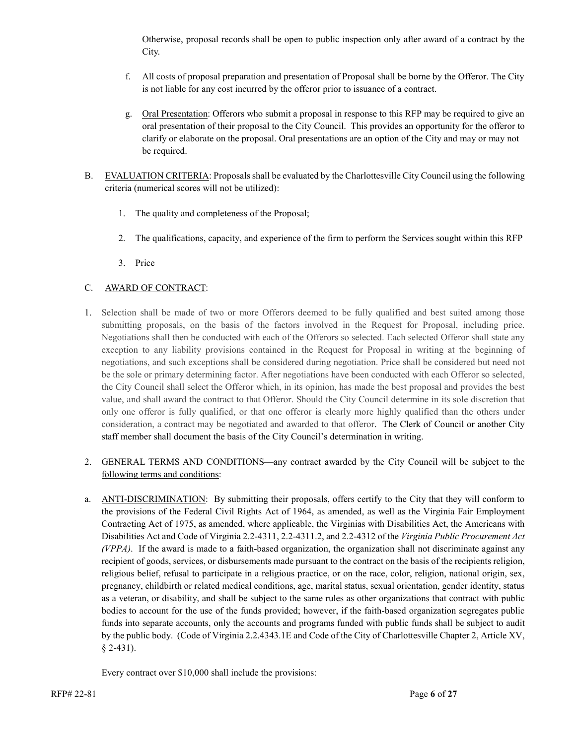Otherwise, proposal records shall be open to public inspection only after award of a contract by the City.

- f. All costs of proposal preparation and presentation of Proposal shall be borne by the Offeror. The City is not liable for any cost incurred by the offeror prior to issuance of a contract.
- g. Oral Presentation: Offerors who submit a proposal in response to this RFP may be required to give an oral presentation of their proposal to the City Council. This provides an opportunity for the offeror to clarify or elaborate on the proposal. Oral presentations are an option of the City and may or may not be required.
- B. EVALUATION CRITERIA: Proposals shall be evaluated by the Charlottesville City Council using the following criteria (numerical scores will not be utilized):
	- 1. The quality and completeness of the Proposal;
	- 2. The qualifications, capacity, and experience of the firm to perform the Services sought within this RFP
	- 3. Price

#### C. AWARD OF CONTRACT:

1. Selection shall be made of two or more Offerors deemed to be fully qualified and best suited among those submitting proposals, on the basis of the factors involved in the Request for Proposal, including price. Negotiations shall then be conducted with each of the Offerors so selected. Each selected Offeror shall state any exception to any liability provisions contained in the Request for Proposal in writing at the beginning of negotiations, and such exceptions shall be considered during negotiation. Price shall be considered but need not be the sole or primary determining factor. After negotiations have been conducted with each Offeror so selected, the City Council shall select the Offeror which, in its opinion, has made the best proposal and provides the best value, and shall award the contract to that Offeror. Should the City Council determine in its sole discretion that only one offeror is fully qualified, or that one offeror is clearly more highly qualified than the others under consideration, a contract may be negotiated and awarded to that offeror. The Clerk of Council or another City staff member shall document the basis of the City Council's determination in writing.

#### 2. GENERAL TERMS AND CONDITIONS—any contract awarded by the City Council will be subject to the following terms and conditions:

a. ANTI-DISCRIMINATION: By submitting their proposals, offers certify to the City that they will conform to the provisions of the Federal Civil Rights Act of 1964, as amended, as well as the Virginia Fair Employment Contracting Act of 1975, as amended, where applicable, the Virginias with Disabilities Act, the Americans with Disabilities Act and Code of Virginia 2.2-4311, 2.2-4311.2, and 2.2-4312 of the *Virginia Public Procurement Act (VPPA)*. If the award is made to a faith-based organization, the organization shall not discriminate against any recipient of goods, services, or disbursements made pursuant to the contract on the basis of the recipients religion, religious belief, refusal to participate in a religious practice, or on the race, color, religion, national origin, sex, pregnancy, childbirth or related medical conditions, age, marital status, sexual orientation, gender identity, status as a veteran, or disability, and shall be subject to the same rules as other organizations that contract with public bodies to account for the use of the funds provided; however, if the faith-based organization segregates public funds into separate accounts, only the accounts and programs funded with public funds shall be subject to audit by the public body. (Code of Virginia 2.2.4343.1E and Code of the City of Charlottesville Chapter 2, Article XV, § 2-431).

Every contract over \$10,000 shall include the provisions: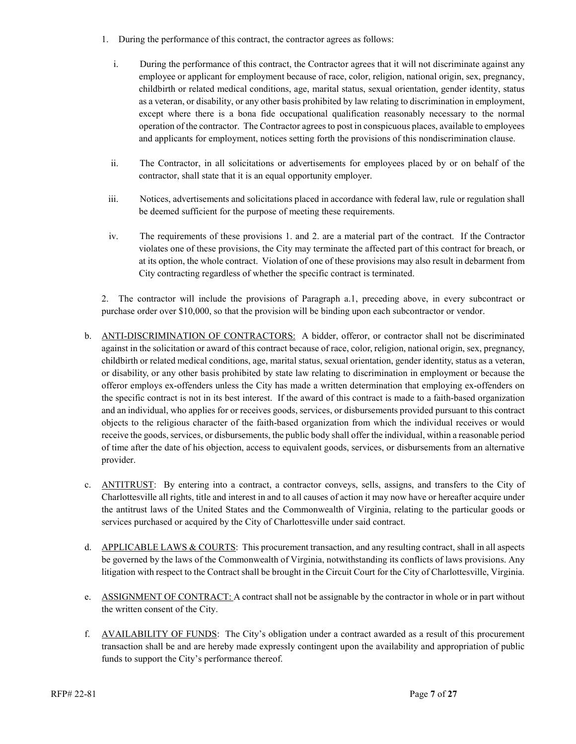- 1. During the performance of this contract, the contractor agrees as follows:
	- i. During the performance of this contract, the Contractor agrees that it will not discriminate against any employee or applicant for employment because of race, color, religion, national origin, sex, pregnancy, childbirth or related medical conditions, age, marital status, sexual orientation, gender identity, status as a veteran, or disability, or any other basis prohibited by law relating to discrimination in employment, except where there is a bona fide occupational qualification reasonably necessary to the normal operation of the contractor. The Contractor agrees to post in conspicuous places, available to employees and applicants for employment, notices setting forth the provisions of this nondiscrimination clause.
	- ii. The Contractor, in all solicitations or advertisements for employees placed by or on behalf of the contractor, shall state that it is an equal opportunity employer.
- iii. Notices, advertisements and solicitations placed in accordance with federal law, rule or regulation shall be deemed sufficient for the purpose of meeting these requirements.
- iv. The requirements of these provisions 1. and 2. are a material part of the contract. If the Contractor violates one of these provisions, the City may terminate the affected part of this contract for breach, or at its option, the whole contract. Violation of one of these provisions may also result in debarment from City contracting regardless of whether the specific contract is terminated.

2. The contractor will include the provisions of Paragraph a.1, preceding above, in every subcontract or purchase order over \$10,000, so that the provision will be binding upon each subcontractor or vendor.

- b. ANTI-DISCRIMINATION OF CONTRACTORS: A bidder, offeror, or contractor shall not be discriminated against in the solicitation or award of this contract because of race, color, religion, national origin, sex, pregnancy, childbirth or related medical conditions, age, marital status, sexual orientation, gender identity, status as a veteran, or disability, or any other basis prohibited by state law relating to discrimination in employment or because the offeror employs ex-offenders unless the City has made a written determination that employing ex-offenders on the specific contract is not in its best interest. If the award of this contract is made to a faith-based organization and an individual, who applies for or receives goods, services, or disbursements provided pursuant to this contract objects to the religious character of the faith-based organization from which the individual receives or would receive the goods, services, or disbursements, the public body shall offer the individual, within a reasonable period of time after the date of his objection, access to equivalent goods, services, or disbursements from an alternative provider.
- c. ANTITRUST: By entering into a contract, a contractor conveys, sells, assigns, and transfers to the City of Charlottesville all rights, title and interest in and to all causes of action it may now have or hereafter acquire under the antitrust laws of the United States and the Commonwealth of Virginia, relating to the particular goods or services purchased or acquired by the City of Charlottesville under said contract.
- d. APPLICABLE LAWS & COURTS: This procurement transaction, and any resulting contract, shall in all aspects be governed by the laws of the Commonwealth of Virginia, notwithstanding its conflicts of laws provisions. Any litigation with respect to the Contract shall be brought in the Circuit Court for the City of Charlottesville, Virginia.
- e. ASSIGNMENT OF CONTRACT: A contract shall not be assignable by the contractor in whole or in part without the written consent of the City.
- f. AVAILABILITY OF FUNDS: The City's obligation under a contract awarded as a result of this procurement transaction shall be and are hereby made expressly contingent upon the availability and appropriation of public funds to support the City's performance thereof.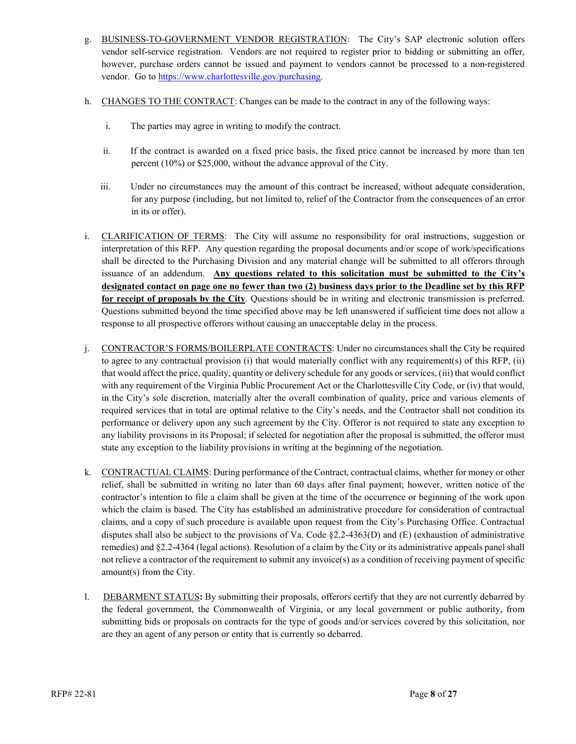- g. BUSINESS-TO-GOVERNMENT VENDOR REGISTRATION: The City's SAP electronic solution offers vendor self-service registration. Vendors are not required to register prior to bidding or submitting an offer, however, purchase orders cannot be issued and payment to vendors cannot be processed to a non-registered vendor. Go to [https://www.charlottesville.gov/purchasing.](https://www.charlottesville.gov/purchasing)
- h. CHANGES TO THE CONTRACT: Changes can be made to the contract in any of the following ways:
	- i. The parties may agree in writing to modify the contract.
	- ii. If the contract is awarded on a fixed price basis, the fixed price cannot be increased by more than ten percent (10%) or \$25,000, without the advance approval of the City.
	- iii. Under no circumstances may the amount of this contract be increased, without adequate consideration, for any purpose (including, but not limited to, relief of the Contractor from the consequences of an error in its or offer).
- i. CLARIFICATION OF TERMS: The City will assume no responsibility for oral instructions, suggestion or interpretation of this RFP. Any question regarding the proposal documents and/or scope of work/specifications shall be directed to the Purchasing Division and any material change will be submitted to all offerors through issuance of an addendum. **Any questions related to this solicitation must be submitted to the City's designated contact on page one no fewer than two (2) business days prior to the Deadline set by this RFP for receipt of proposals by the City**. Questions should be in writing and electronic transmission is preferred. Questions submitted beyond the time specified above may be left unanswered if sufficient time does not allow a response to all prospective offerors without causing an unacceptable delay in the process.
- j. CONTRACTOR'S FORMS/BOILERPLATE CONTRACTS: Under no circumstances shall the City be required to agree to any contractual provision (i) that would materially conflict with any requirement(s) of this RFP, (ii) that would affect the price, quality, quantity or delivery schedule for any goods or services, (iii) that would conflict with any requirement of the Virginia Public Procurement Act or the Charlottesville City Code, or (iv) that would, in the City's sole discretion, materially alter the overall combination of quality, price and various elements of required services that in total are optimal relative to the City's needs, and the Contractor shall not condition its performance or delivery upon any such agreement by the City. Offeror is not required to state any exception to any liability provisions in its Proposal; if selected for negotiation after the proposal is submitted, the offeror must state any exception to the liability provisions in writing at the beginning of the negotiation.
- k. CONTRACTUAL CLAIMS: During performance of the Contract, contractual claims, whether for money or other relief, shall be submitted in writing no later than 60 days after final payment; however, written notice of the contractor's intention to file a claim shall be given at the time of the occurrence or beginning of the work upon which the claim is based. The City has established an administrative procedure for consideration of contractual claims, and a copy of such procedure is available upon request from the City's Purchasing Office. Contractual disputes shall also be subject to the provisions of Va. Code §2.2-4363(D) and (E) (exhaustion of administrative remedies) and §2.2-4364 (legal actions). Resolution of a claim by the City or its administrative appeals panel shall not relieve a contractor of the requirement to submit any invoice(s) as a condition of receiving payment of specific amount(s) from the City.
- l. DEBARMENT STATUS**:** By submitting their proposals, offerors certify that they are not currently debarred by the federal government, the Commonwealth of Virginia, or any local government or public authority, from submitting bids or proposals on contracts for the type of goods and/or services covered by this solicitation, nor are they an agent of any person or entity that is currently so debarred.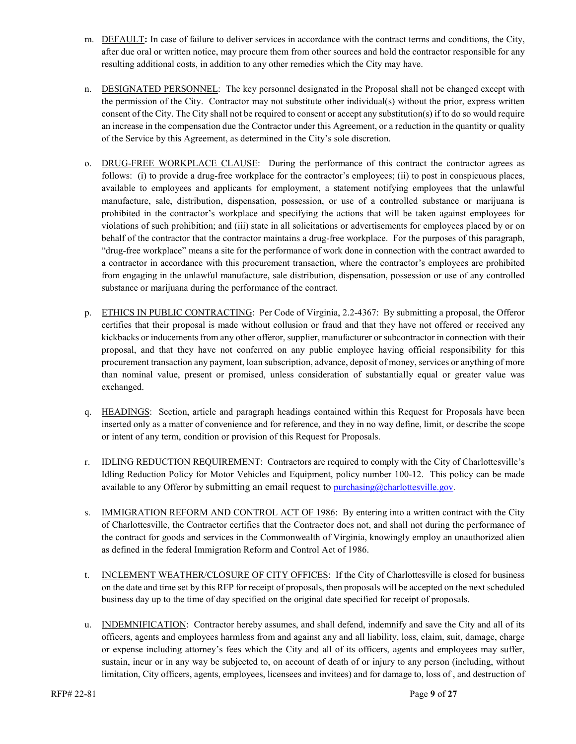- m. DEFAULT**:** In case of failure to deliver services in accordance with the contract terms and conditions, the City, after due oral or written notice, may procure them from other sources and hold the contractor responsible for any resulting additional costs, in addition to any other remedies which the City may have.
- n. DESIGNATED PERSONNEL: The key personnel designated in the Proposal shall not be changed except with the permission of the City. Contractor may not substitute other individual(s) without the prior, express written consent of the City. The City shall not be required to consent or accept any substitution(s) if to do so would require an increase in the compensation due the Contractor under this Agreement, or a reduction in the quantity or quality of the Service by this Agreement, as determined in the City's sole discretion.
- o. DRUG-FREE WORKPLACE CLAUSE: During the performance of this contract the contractor agrees as follows: (i) to provide a drug-free workplace for the contractor's employees; (ii) to post in conspicuous places, available to employees and applicants for employment, a statement notifying employees that the unlawful manufacture, sale, distribution, dispensation, possession, or use of a controlled substance or marijuana is prohibited in the contractor's workplace and specifying the actions that will be taken against employees for violations of such prohibition; and (iii) state in all solicitations or advertisements for employees placed by or on behalf of the contractor that the contractor maintains a drug-free workplace. For the purposes of this paragraph, "drug-free workplace" means a site for the performance of work done in connection with the contract awarded to a contractor in accordance with this procurement transaction, where the contractor's employees are prohibited from engaging in the unlawful manufacture, sale distribution, dispensation, possession or use of any controlled substance or marijuana during the performance of the contract.
- p. ETHICS IN PUBLIC CONTRACTING: Per Code of Virginia, 2.2-4367: By submitting a proposal, the Offeror certifies that their proposal is made without collusion or fraud and that they have not offered or received any kickbacks or inducements from any other offeror, supplier, manufacturer or subcontractor in connection with their proposal, and that they have not conferred on any public employee having official responsibility for this procurement transaction any payment, loan subscription, advance, deposit of money, services or anything of more than nominal value, present or promised, unless consideration of substantially equal or greater value was exchanged.
- q. HEADINGS: Section, article and paragraph headings contained within this Request for Proposals have been inserted only as a matter of convenience and for reference, and they in no way define, limit, or describe the scope or intent of any term, condition or provision of this Request for Proposals.
- r. IDLING REDUCTION REQUIREMENT: Contractors are required to comply with the City of Charlottesville's Idling Reduction Policy for Motor Vehicles and Equipment, policy number 100-12. This policy can be made available to any Offeror by submitting an email request to [purchasing@charlottesville.gov.](mailto:purchasing@charlottesville.gov)
- s. IMMIGRATION REFORM AND CONTROL ACT OF 1986: By entering into a written contract with the City of Charlottesville, the Contractor certifies that the Contractor does not, and shall not during the performance of the contract for goods and services in the Commonwealth of Virginia, knowingly employ an unauthorized alien as defined in the federal Immigration Reform and Control Act of 1986.
- t. INCLEMENT WEATHER/CLOSURE OF CITY OFFICES: If the City of Charlottesville is closed for business on the date and time set by this RFP for receipt of proposals, then proposals will be accepted on the next scheduled business day up to the time of day specified on the original date specified for receipt of proposals.
- u. INDEMNIFICATION: Contractor hereby assumes, and shall defend, indemnify and save the City and all of its officers, agents and employees harmless from and against any and all liability, loss, claim, suit, damage, charge or expense including attorney's fees which the City and all of its officers, agents and employees may suffer, sustain, incur or in any way be subjected to, on account of death of or injury to any person (including, without limitation, City officers, agents, employees, licensees and invitees) and for damage to, loss of , and destruction of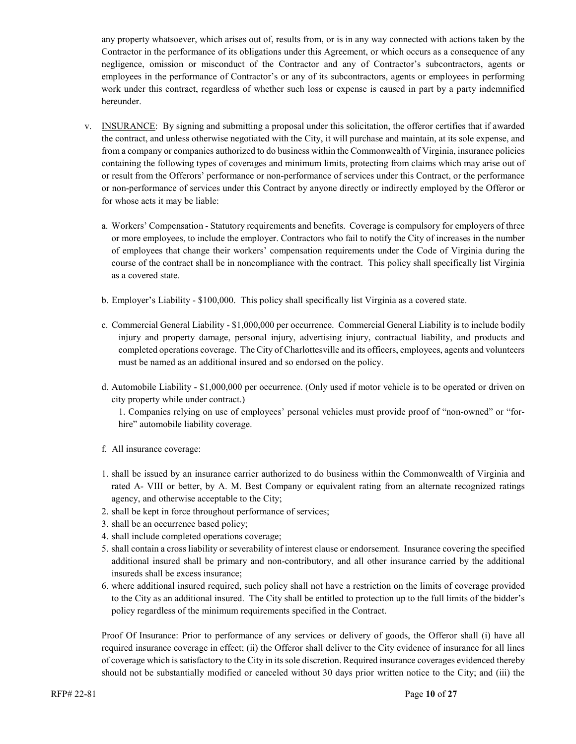any property whatsoever, which arises out of, results from, or is in any way connected with actions taken by the Contractor in the performance of its obligations under this Agreement, or which occurs as a consequence of any negligence, omission or misconduct of the Contractor and any of Contractor's subcontractors, agents or employees in the performance of Contractor's or any of its subcontractors, agents or employees in performing work under this contract, regardless of whether such loss or expense is caused in part by a party indemnified hereunder.

- v. INSURANCE: By signing and submitting a proposal under this solicitation, the offeror certifies that if awarded the contract, and unless otherwise negotiated with the City, it will purchase and maintain, at its sole expense, and from a company or companies authorized to do business within the Commonwealth of Virginia, insurance policies containing the following types of coverages and minimum limits, protecting from claims which may arise out of or result from the Offerors' performance or non-performance of services under this Contract, or the performance or non-performance of services under this Contract by anyone directly or indirectly employed by the Offeror or for whose acts it may be liable:
	- a. Workers' Compensation Statutory requirements and benefits. Coverage is compulsory for employers of three or more employees, to include the employer. Contractors who fail to notify the City of increases in the number of employees that change their workers' compensation requirements under the Code of Virginia during the course of the contract shall be in noncompliance with the contract. This policy shall specifically list Virginia as a covered state.
	- b. Employer's Liability \$100,000. This policy shall specifically list Virginia as a covered state.
	- c. Commercial General Liability \$1,000,000 per occurrence. Commercial General Liability is to include bodily injury and property damage, personal injury, advertising injury, contractual liability, and products and completed operations coverage. The City of Charlottesville and its officers, employees, agents and volunteers must be named as an additional insured and so endorsed on the policy.
	- d. Automobile Liability \$1,000,000 per occurrence. (Only used if motor vehicle is to be operated or driven on city property while under contract.)

1. Companies relying on use of employees' personal vehicles must provide proof of "non-owned" or "forhire" automobile liability coverage.

- f. All insurance coverage:
- 1. shall be issued by an insurance carrier authorized to do business within the Commonwealth of Virginia and rated A- VIII or better, by A. M. Best Company or equivalent rating from an alternate recognized ratings agency, and otherwise acceptable to the City;
- 2. shall be kept in force throughout performance of services;
- 3. shall be an occurrence based policy;
- 4. shall include completed operations coverage;
- 5. shall contain a cross liability or severability of interest clause or endorsement. Insurance covering the specified additional insured shall be primary and non-contributory, and all other insurance carried by the additional insureds shall be excess insurance;
- 6. where additional insured required, such policy shall not have a restriction on the limits of coverage provided to the City as an additional insured. The City shall be entitled to protection up to the full limits of the bidder's policy regardless of the minimum requirements specified in the Contract.

Proof Of Insurance: Prior to performance of any services or delivery of goods, the Offeror shall (i) have all required insurance coverage in effect; (ii) the Offeror shall deliver to the City evidence of insurance for all lines of coverage which is satisfactory to the City in its sole discretion. Required insurance coverages evidenced thereby should not be substantially modified or canceled without 30 days prior written notice to the City; and (iii) the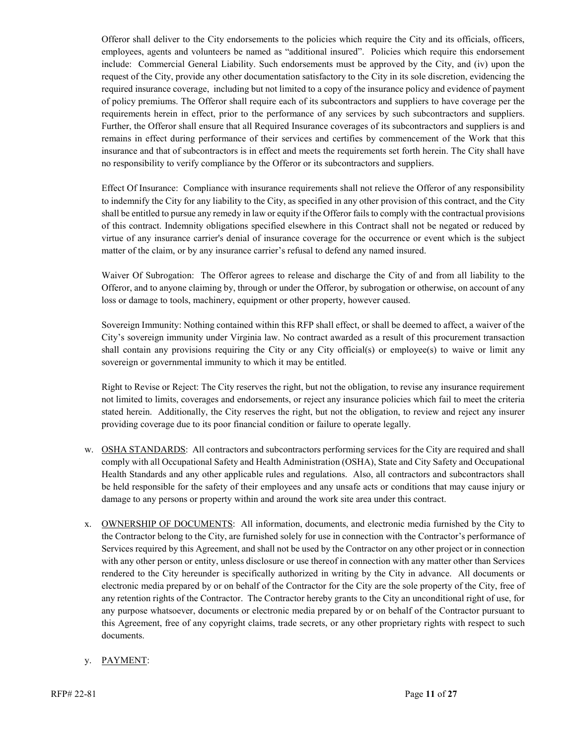Offeror shall deliver to the City endorsements to the policies which require the City and its officials, officers, employees, agents and volunteers be named as "additional insured". Policies which require this endorsement include: Commercial General Liability. Such endorsements must be approved by the City, and (iv) upon the request of the City, provide any other documentation satisfactory to the City in its sole discretion, evidencing the required insurance coverage, including but not limited to a copy of the insurance policy and evidence of payment of policy premiums. The Offeror shall require each of its subcontractors and suppliers to have coverage per the requirements herein in effect, prior to the performance of any services by such subcontractors and suppliers. Further, the Offeror shall ensure that all Required Insurance coverages of its subcontractors and suppliers is and remains in effect during performance of their services and certifies by commencement of the Work that this insurance and that of subcontractors is in effect and meets the requirements set forth herein. The City shall have no responsibility to verify compliance by the Offeror or its subcontractors and suppliers.

Effect Of Insurance: Compliance with insurance requirements shall not relieve the Offeror of any responsibility to indemnify the City for any liability to the City, as specified in any other provision of this contract, and the City shall be entitled to pursue any remedy in law or equity if the Offeror fails to comply with the contractual provisions of this contract. Indemnity obligations specified elsewhere in this Contract shall not be negated or reduced by virtue of any insurance carrier's denial of insurance coverage for the occurrence or event which is the subject matter of the claim, or by any insurance carrier's refusal to defend any named insured.

Waiver Of Subrogation: The Offeror agrees to release and discharge the City of and from all liability to the Offeror, and to anyone claiming by, through or under the Offeror, by subrogation or otherwise, on account of any loss or damage to tools, machinery, equipment or other property, however caused.

Sovereign Immunity: Nothing contained within this RFP shall effect, or shall be deemed to affect, a waiver of the City's sovereign immunity under Virginia law. No contract awarded as a result of this procurement transaction shall contain any provisions requiring the City or any City official(s) or employee(s) to waive or limit any sovereign or governmental immunity to which it may be entitled.

Right to Revise or Reject: The City reserves the right, but not the obligation, to revise any insurance requirement not limited to limits, coverages and endorsements, or reject any insurance policies which fail to meet the criteria stated herein. Additionally, the City reserves the right, but not the obligation, to review and reject any insurer providing coverage due to its poor financial condition or failure to operate legally.

- w. OSHA STANDARDS: All contractors and subcontractors performing services for the City are required and shall comply with all Occupational Safety and Health Administration (OSHA), State and City Safety and Occupational Health Standards and any other applicable rules and regulations. Also, all contractors and subcontractors shall be held responsible for the safety of their employees and any unsafe acts or conditions that may cause injury or damage to any persons or property within and around the work site area under this contract.
- x. OWNERSHIP OF DOCUMENTS: All information, documents, and electronic media furnished by the City to the Contractor belong to the City, are furnished solely for use in connection with the Contractor's performance of Services required by this Agreement, and shall not be used by the Contractor on any other project or in connection with any other person or entity, unless disclosure or use thereof in connection with any matter other than Services rendered to the City hereunder is specifically authorized in writing by the City in advance. All documents or electronic media prepared by or on behalf of the Contractor for the City are the sole property of the City, free of any retention rights of the Contractor. The Contractor hereby grants to the City an unconditional right of use, for any purpose whatsoever, documents or electronic media prepared by or on behalf of the Contractor pursuant to this Agreement, free of any copyright claims, trade secrets, or any other proprietary rights with respect to such documents.

#### y. PAYMENT: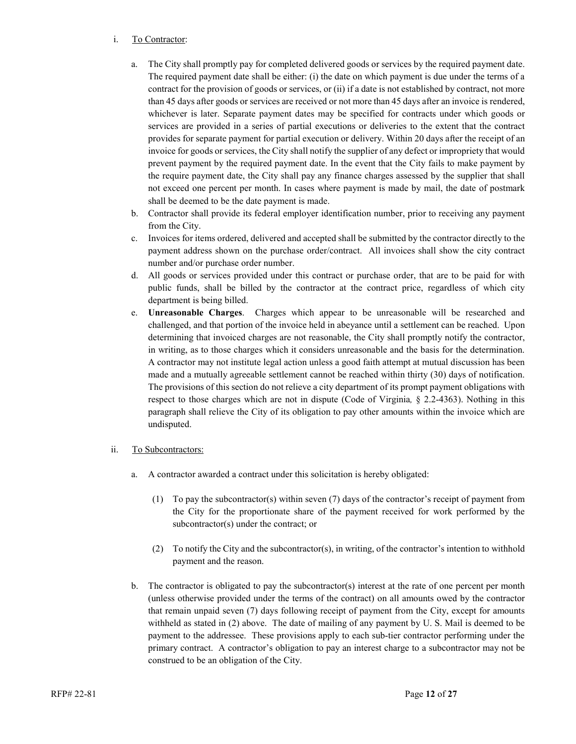#### i. To Contractor:

- a. The City shall promptly pay for completed delivered goods or services by the required payment date. The required payment date shall be either: (i) the date on which payment is due under the terms of a contract for the provision of goods or services, or (ii) if a date is not established by contract, not more than 45 days after goods or services are received or not more than 45 days after an invoice is rendered, whichever is later. Separate payment dates may be specified for contracts under which goods or services are provided in a series of partial executions or deliveries to the extent that the contract provides for separate payment for partial execution or delivery. Within 20 days after the receipt of an invoice for goods or services, the City shall notify the supplier of any defect or impropriety that would prevent payment by the required payment date. In the event that the City fails to make payment by the require payment date, the City shall pay any finance charges assessed by the supplier that shall not exceed one percent per month. In cases where payment is made by mail, the date of postmark shall be deemed to be the date payment is made.
- b. Contractor shall provide its federal employer identification number, prior to receiving any payment from the City.
- c. Invoices for items ordered, delivered and accepted shall be submitted by the contractor directly to the payment address shown on the purchase order/contract. All invoices shall show the city contract number and/or purchase order number.
- d. All goods or services provided under this contract or purchase order, that are to be paid for with public funds, shall be billed by the contractor at the contract price, regardless of which city department is being billed.
- e. **Unreasonable Charges**. Charges which appear to be unreasonable will be researched and challenged, and that portion of the invoice held in abeyance until a settlement can be reached. Upon determining that invoiced charges are not reasonable, the City shall promptly notify the contractor, in writing, as to those charges which it considers unreasonable and the basis for the determination. A contractor may not institute legal action unless a good faith attempt at mutual discussion has been made and a mutually agreeable settlement cannot be reached within thirty (30) days of notification. The provisions of this section do not relieve a city department of its prompt payment obligations with respect to those charges which are not in dispute (Code of Virginia*,* § 2.2-4363). Nothing in this paragraph shall relieve the City of its obligation to pay other amounts within the invoice which are undisputed.

#### ii. To Subcontractors:

- a. A contractor awarded a contract under this solicitation is hereby obligated:
	- (1) To pay the subcontractor(s) within seven (7) days of the contractor's receipt of payment from the City for the proportionate share of the payment received for work performed by the subcontractor(s) under the contract; or
	- (2) To notify the City and the subcontractor(s), in writing, of the contractor's intention to withhold payment and the reason.
- b. The contractor is obligated to pay the subcontractor(s) interest at the rate of one percent per month (unless otherwise provided under the terms of the contract) on all amounts owed by the contractor that remain unpaid seven (7) days following receipt of payment from the City, except for amounts withheld as stated in (2) above. The date of mailing of any payment by U. S. Mail is deemed to be payment to the addressee. These provisions apply to each sub-tier contractor performing under the primary contract. A contractor's obligation to pay an interest charge to a subcontractor may not be construed to be an obligation of the City.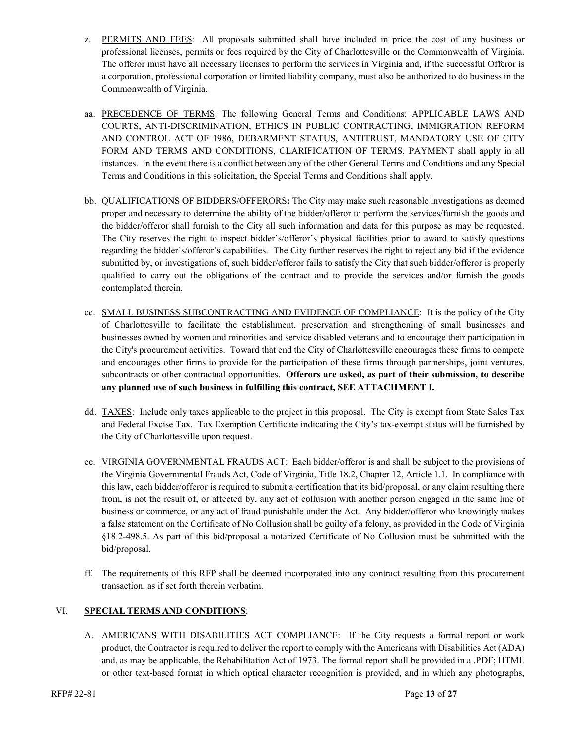- z. PERMITS AND FEES: All proposals submitted shall have included in price the cost of any business or professional licenses, permits or fees required by the City of Charlottesville or the Commonwealth of Virginia. The offeror must have all necessary licenses to perform the services in Virginia and, if the successful Offeror is a corporation, professional corporation or limited liability company, must also be authorized to do business in the Commonwealth of Virginia.
- aa. PRECEDENCE OF TERMS: The following General Terms and Conditions: APPLICABLE LAWS AND COURTS, ANTI-DISCRIMINATION, ETHICS IN PUBLIC CONTRACTING, IMMIGRATION REFORM AND CONTROL ACT OF 1986, DEBARMENT STATUS, ANTITRUST, MANDATORY USE OF CITY FORM AND TERMS AND CONDITIONS, CLARIFICATION OF TERMS, PAYMENT shall apply in all instances. In the event there is a conflict between any of the other General Terms and Conditions and any Special Terms and Conditions in this solicitation, the Special Terms and Conditions shall apply.
- bb. QUALIFICATIONS OF BIDDERS/OFFERORS**:** The City may make such reasonable investigations as deemed proper and necessary to determine the ability of the bidder/offeror to perform the services/furnish the goods and the bidder/offeror shall furnish to the City all such information and data for this purpose as may be requested. The City reserves the right to inspect bidder's/offeror's physical facilities prior to award to satisfy questions regarding the bidder's/offeror's capabilities. The City further reserves the right to reject any bid if the evidence submitted by, or investigations of, such bidder/offeror fails to satisfy the City that such bidder/offeror is properly qualified to carry out the obligations of the contract and to provide the services and/or furnish the goods contemplated therein.
- cc. SMALL BUSINESS SUBCONTRACTING AND EVIDENCE OF COMPLIANCE: It is the policy of the City of Charlottesville to facilitate the establishment, preservation and strengthening of small businesses and businesses owned by women and minorities and service disabled veterans and to encourage their participation in the City's procurement activities. Toward that end the City of Charlottesville encourages these firms to compete and encourages other firms to provide for the participation of these firms through partnerships, joint ventures, subcontracts or other contractual opportunities. **Offerors are asked, as part of their submission, to describe any planned use of such business in fulfilling this contract, SEE ATTACHMENT I.**
- dd. TAXES: Include only taxes applicable to the project in this proposal. The City is exempt from State Sales Tax and Federal Excise Tax. Tax Exemption Certificate indicating the City's tax-exempt status will be furnished by the City of Charlottesville upon request.
- ee. VIRGINIA GOVERNMENTAL FRAUDS ACT: Each bidder/offeror is and shall be subject to the provisions of the Virginia Governmental Frauds Act, Code of Virginia, Title 18.2, Chapter 12, Article 1.1. In compliance with this law, each bidder/offeror is required to submit a certification that its bid/proposal, or any claim resulting there from, is not the result of, or affected by, any act of collusion with another person engaged in the same line of business or commerce, or any act of fraud punishable under the Act. Any bidder/offeror who knowingly makes a false statement on the Certificate of No Collusion shall be guilty of a felony, as provided in the Code of Virginia §18.2-498.5. As part of this bid/proposal a notarized Certificate of No Collusion must be submitted with the bid/proposal.
- ff. The requirements of this RFP shall be deemed incorporated into any contract resulting from this procurement transaction, as if set forth therein verbatim.

#### VI. **SPECIAL TERMS AND CONDITIONS**:

A. **AMERICANS WITH DISABILITIES ACT COMPLIANCE**: If the City requests a formal report or work product, the Contractor is required to deliver the report to comply with the Americans with Disabilities Act (ADA) and, as may be applicable, the Rehabilitation Act of 1973. The formal report shall be provided in a .PDF; HTML or other text-based format in which optical character recognition is provided, and in which any photographs,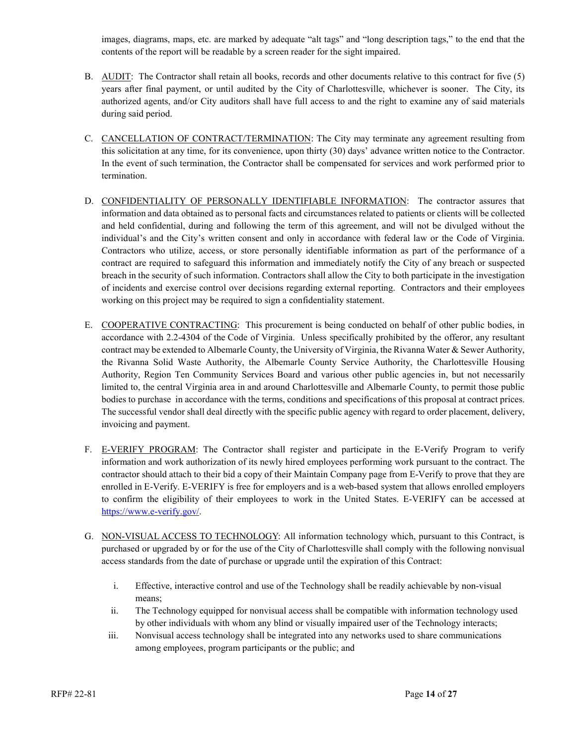images, diagrams, maps, etc. are marked by adequate "alt tags" and "long description tags," to the end that the contents of the report will be readable by a screen reader for the sight impaired.

- B. AUDIT: The Contractor shall retain all books, records and other documents relative to this contract for five (5) years after final payment, or until audited by the City of Charlottesville, whichever is sooner. The City, its authorized agents, and/or City auditors shall have full access to and the right to examine any of said materials during said period.
- C. CANCELLATION OF CONTRACT/TERMINATION: The City may terminate any agreement resulting from this solicitation at any time, for its convenience, upon thirty (30) days' advance written notice to the Contractor. In the event of such termination, the Contractor shall be compensated for services and work performed prior to termination.
- D. CONFIDENTIALITY OF PERSONALLY IDENTIFIABLE INFORMATION: The contractor assures that information and data obtained as to personal facts and circumstances related to patients or clients will be collected and held confidential, during and following the term of this agreement, and will not be divulged without the individual's and the City's written consent and only in accordance with federal law or the Code of Virginia. Contractors who utilize, access, or store personally identifiable information as part of the performance of a contract are required to safeguard this information and immediately notify the City of any breach or suspected breach in the security of such information. Contractors shall allow the City to both participate in the investigation of incidents and exercise control over decisions regarding external reporting. Contractors and their employees working on this project may be required to sign a confidentiality statement.
- E. COOPERATIVE CONTRACTING: This procurement is being conducted on behalf of other public bodies, in accordance with 2.2-4304 of the Code of Virginia. Unless specifically prohibited by the offeror, any resultant contract may be extended to Albemarle County, the University of Virginia, the Rivanna Water & Sewer Authority, the Rivanna Solid Waste Authority, the Albemarle County Service Authority, the Charlottesville Housing Authority, Region Ten Community Services Board and various other public agencies in, but not necessarily limited to, the central Virginia area in and around Charlottesville and Albemarle County, to permit those public bodies to purchase in accordance with the terms, conditions and specifications of this proposal at contract prices. The successful vendor shall deal directly with the specific public agency with regard to order placement, delivery, invoicing and payment.
- F. E-VERIFY PROGRAM: The Contractor shall register and participate in the E-Verify Program to verify information and work authorization of its newly hired employees performing work pursuant to the contract. The contractor should attach to their bid a copy of their Maintain Company page from E-Verify to prove that they are enrolled in E-Verify. E-VERIFY is free for employers and is a web-based system that allows enrolled employers to confirm the eligibility of their employees to work in the United States. E-VERIFY can be accessed at [https://www.e-verify.gov/.](https://www.e-verify.gov/)
- G. NON-VISUAL ACCESS TO TECHNOLOGY: All information technology which, pursuant to this Contract, is purchased or upgraded by or for the use of the City of Charlottesville shall comply with the following nonvisual access standards from the date of purchase or upgrade until the expiration of this Contract:
	- i. Effective, interactive control and use of the Technology shall be readily achievable by non-visual means;
	- ii. The Technology equipped for nonvisual access shall be compatible with information technology used by other individuals with whom any blind or visually impaired user of the Technology interacts;
	- iii. Nonvisual access technology shall be integrated into any networks used to share communications among employees, program participants or the public; and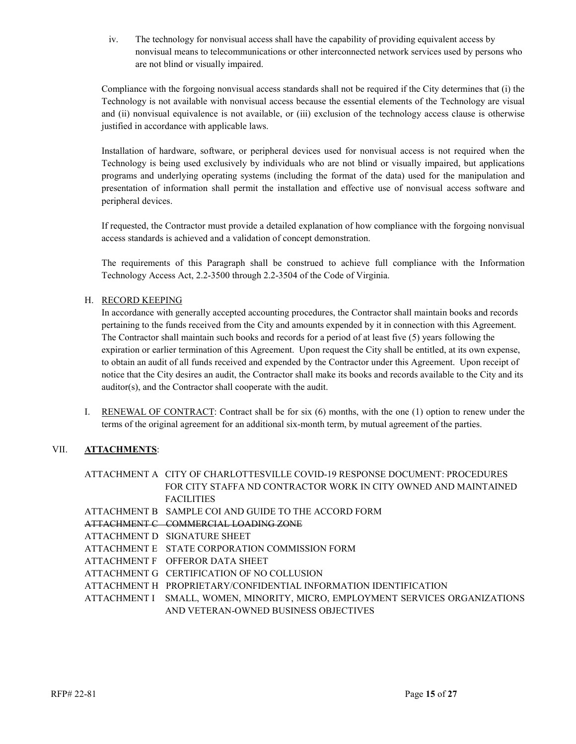iv. The technology for nonvisual access shall have the capability of providing equivalent access by nonvisual means to telecommunications or other interconnected network services used by persons who are not blind or visually impaired.

Compliance with the forgoing nonvisual access standards shall not be required if the City determines that (i) the Technology is not available with nonvisual access because the essential elements of the Technology are visual and (ii) nonvisual equivalence is not available, or (iii) exclusion of the technology access clause is otherwise justified in accordance with applicable laws.

Installation of hardware, software, or peripheral devices used for nonvisual access is not required when the Technology is being used exclusively by individuals who are not blind or visually impaired, but applications programs and underlying operating systems (including the format of the data) used for the manipulation and presentation of information shall permit the installation and effective use of nonvisual access software and peripheral devices.

If requested, the Contractor must provide a detailed explanation of how compliance with the forgoing nonvisual access standards is achieved and a validation of concept demonstration.

The requirements of this Paragraph shall be construed to achieve full compliance with the Information Technology Access Act, 2.2-3500 through 2.2-3504 of the Code of Virginia.

#### H. RECORD KEEPING

In accordance with generally accepted accounting procedures, the Contractor shall maintain books and records pertaining to the funds received from the City and amounts expended by it in connection with this Agreement. The Contractor shall maintain such books and records for a period of at least five (5) years following the expiration or earlier termination of this Agreement. Upon request the City shall be entitled, at its own expense, to obtain an audit of all funds received and expended by the Contractor under this Agreement. Upon receipt of notice that the City desires an audit, the Contractor shall make its books and records available to the City and its auditor(s), and the Contractor shall cooperate with the audit.

I. RENEWAL OF CONTRACT: Contract shall be for six (6) months, with the one (1) option to renew under the terms of the original agreement for an additional six-month term, by mutual agreement of the parties.

#### VII. **ATTACHMENTS**:

- ATTACHMENT A CITY OF CHARLOTTESVILLE COVID-19 RESPONSE DOCUMENT: PROCEDURES FOR CITY STAFFA ND CONTRACTOR WORK IN CITY OWNED AND MAINTAINED **FACILITIES**
- ATTACHMENT B SAMPLE COI AND GUIDE TO THE ACCORD FORM
- ATTACHMENT C COMMERCIAL LOADING ZONE
- ATTACHMENT D SIGNATURE SHEET
- ATTACHMENT E STATE CORPORATION COMMISSION FORM
- ATTACHMENT F OFFEROR DATA SHEET
- ATTACHMENT G CERTIFICATION OF NO COLLUSION
- ATTACHMENT H PROPRIETARY/CONFIDENTIAL INFORMATION IDENTIFICATION
- ATTACHMENT I SMALL, WOMEN, MINORITY, MICRO, EMPLOYMENT SERVICES ORGANIZATIONS AND VETERAN-OWNED BUSINESS OBJECTIVES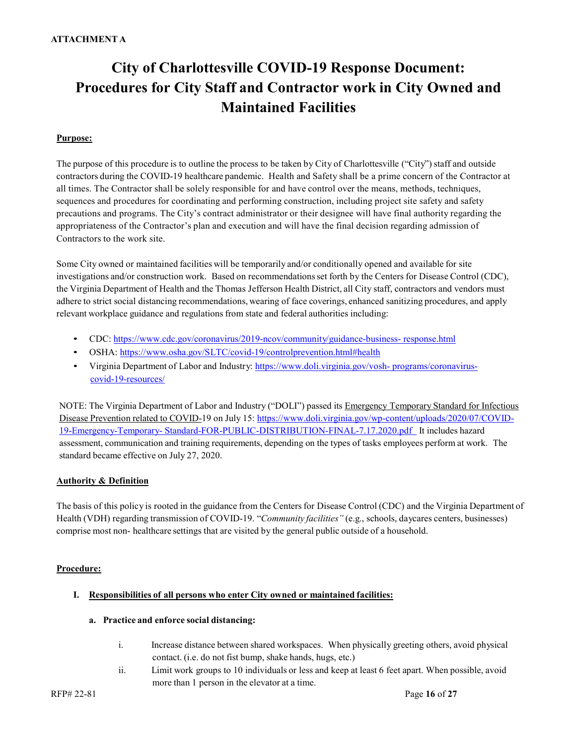# **City of Charlottesville COVID-19 Response Document: Procedures for City Staff and Contractor work in City Owned and Maintained Facilities**

#### **Purpose:**

The purpose of this procedure is to outline the process to be taken by City of Charlottesville ("City") staff and outside contractors during the COVID-19 healthcare pandemic. Health and Safety shall be a prime concern of the Contractor at all times. The Contractor shall be solely responsible for and have control over the means, methods, techniques, sequences and procedures for coordinating and performing construction, including project site safety and safety precautions and programs. The City's contract administrator or their designee will have final authority regarding the appropriateness of the Contractor's plan and execution and will have the final decision regarding admission of Contractors to the work site.

Some City owned or maintained facilities will be temporarily and/or conditionally opened and available for site investigations and/or construction work. Based on recommendationsset forth by the Centers for Disease Control (CDC), the Virginia Department of Health and the Thomas Jefferson Health District, all City staff, contractors and vendors must adhere to strict social distancing recommendations, wearing of face coverings, enhanced sanitizing procedures, and apply relevant workplace guidance and regulationsfrom state and federal authorities including:

- CDC: [https://www.cdc.gov/coronavirus/2019-ncov/community/guidance-business-](https://www.cdc.gov/coronavirus/2019-ncov/community/guidance-business-response.html) [response.html](https://www.cdc.gov/coronavirus/2019-ncov/community/guidance-business-response.html)
- OSHA:<https://www.osha.gov/SLTC/covid-19/controlprevention.html#health>
- Virginia Department of Labor and Industry: [https://www.doli.virginia.gov/vosh-](https://www.doli.virginia.gov/vosh-programs/coronavirus-covid-19-resources/) [programs/coronavirus](https://www.doli.virginia.gov/vosh-programs/coronavirus-covid-19-resources/)[covid-19-resources/](https://www.doli.virginia.gov/vosh-programs/coronavirus-covid-19-resources/)

NOTE: The Virginia Department of Labor and Industry ("DOLI") passed its [Emergency Temporary](https://www.doli.virginia.gov/wp-content/uploads/2020/07/COVID-19-Emergency-Temporary-Standard-FOR-PUBLIC-DISTRIBUTION-FINAL-7.17.2020.pdf) Standard for Infectious Disease [Prevention](https://www.doli.virginia.gov/wp-content/uploads/2020/07/COVID-19-Emergency-Temporary-Standard-FOR-PUBLIC-DISTRIBUTION-FINAL-7.17.2020.pdf) related to COVID-19 on July 15: [https://www.doli.virginia.gov/wp-content/uploads/2020/07/COVID-](https://www.doli.virginia.gov/wp-content/uploads/2020/07/COVID-19-Emergency-Temporary-Standard-FOR-PUBLIC-DISTRIBUTION-FINAL-7.17.2020.pdf)[19-Emergency-Temporary-](https://www.doli.virginia.gov/wp-content/uploads/2020/07/COVID-19-Emergency-Temporary-Standard-FOR-PUBLIC-DISTRIBUTION-FINAL-7.17.2020.pdf) [Standard-FOR-PUBLIC-DISTRIBUTION-FINAL-7.17.2020.pdf](https://www.doli.virginia.gov/wp-content/uploads/2020/07/COVID-19-Emergency-Temporary-Standard-FOR-PUBLIC-DISTRIBUTION-FINAL-7.17.2020.pdf) It includes hazard assessment, communication and training requirements, depending on the types of tasks employees perform at work. The standard became effective on July 27, 2020.

#### **Authority & Definition**

The basis of this policy is rooted in the guidance from the Centers for Disease Control (CDC) and the Virginia Department of Health (VDH) regarding transmission of COVID-19. "*Community facilities"* (e.g., schools, daycares centers, businesses) comprise most non- healthcare settings that are visited by the general public outside of a household.

#### **Procedure:**

#### **I. Responsibilities of all persons who enter City owned or maintained facilities:**

#### **a. Practice and enforce social distancing:**

- i. Increase distance between shared workspaces. When physically greeting others, avoid physical contact. (i.e. do not fist bump, shake hands, hugs, etc.)
- ii. Limit work groups to 10 individuals or less and keep at least 6 feet apart. When possible, avoid more than 1 person in the elevator at a time.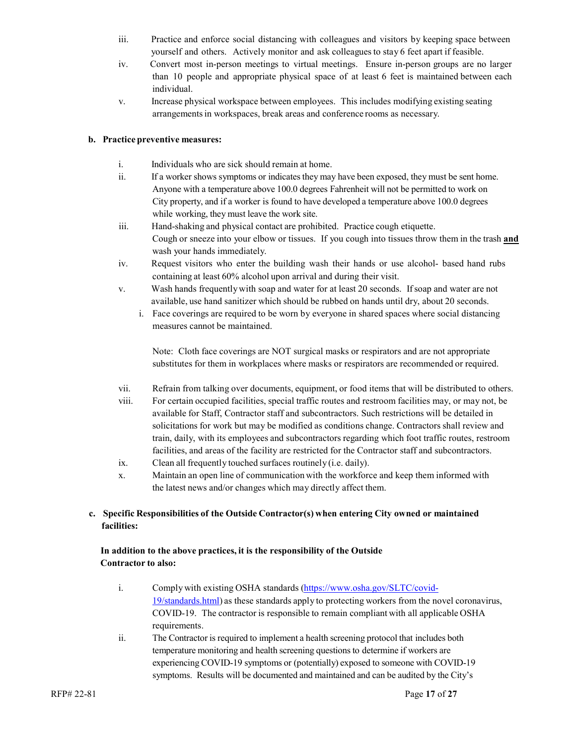- iii. Practice and enforce social distancing with colleagues and visitors by keeping space between yourself and others. Actively monitor and ask colleaguesto stay 6 feet apart if feasible.
- iv. Convert most in-person meetings to virtual meetings. Ensure in-person groups are no larger than 10 people and appropriate physical space of at least 6 feet is maintained between each individual.
- v. Increase physical workspace between employees. This includes modifying existing seating arrangements in workspaces, break areas and conference rooms as necessary.

#### **b. Practice preventive measures:**

- i. Individuals who are sick should remain at home.
- ii. If a worker shows symptoms or indicatesthey may have been exposed, they must be sent home. Anyone with a temperature above 100.0 degrees Fahrenheit will not be permitted to work on City property, and if a worker is found to have developed a temperature above 100.0 degrees while working, they must leave the work site.
- iii. Hand-shaking and physical contact are prohibited. Practice cough etiquette. Cough or sneeze into your elbow or tissues. If you cough into tissues throw them in the trash **and** wash your hands immediately.
- iv. Request visitors who enter the building wash their hands or use alcohol- based hand rubs containing at least 60% alcohol upon arrival and during their visit.
- v. Wash hands frequentlywith soap and water for at least 20 seconds. If soap and water are not available, use hand sanitizer which should be rubbed on hands until dry, about 20 seconds.
	- i. Face coverings are required to be worn by everyone in shared spaces where social distancing measures cannot be maintained.

Note: Cloth face coverings are NOT surgical masks or respirators and are not appropriate substitutes for them in workplaces where masks or respirators are recommended or required.

- vii. Refrain from talking over documents, equipment, or food items that will be distributed to others.
- viii. For certain occupied facilities, special traffic routes and restroom facilities may, or may not, be available for Staff, Contractor staff and subcontractors. Such restrictions will be detailed in solicitations for work but may be modified as conditions change. Contractors shall review and train, daily, with its employees and subcontractors regarding which foot traffic routes, restroom facilities, and areas of the facility are restricted for the Contractor staff and subcontractors.
- ix. Clean all frequently touched surfaces routinely (i.e. daily).
- x. Maintain an open line of communication with the workforce and keep them informed with the latest news and/or changes which may directly affect them.

#### **c. Specific Responsibilities of the Outside Contractor(s) when entering City owned or maintained facilities:**

#### **In addition to the above practices, it is the responsibility of the Outside Contractor to also:**

- i. Comply with existing OSHA standards [\(https://www.osha.gov/SLTC/covid-](https://www.osha.gov/SLTC/covid-19/standards.html)[19/standards.html\)](https://www.osha.gov/SLTC/covid-19/standards.html) as these standards apply to protecting workers from the novel coronavirus, COVID-19. The contractor is responsible to remain compliant with all applicable OSHA requirements.
- ii. The Contractor is required to implement a health screening protocol that includes both temperature monitoring and health screening questions to determine if workers are experiencing COVID-19 symptoms or (potentially) exposed to someone with COVID-19 symptoms. Results will be documented and maintained and can be audited by the City's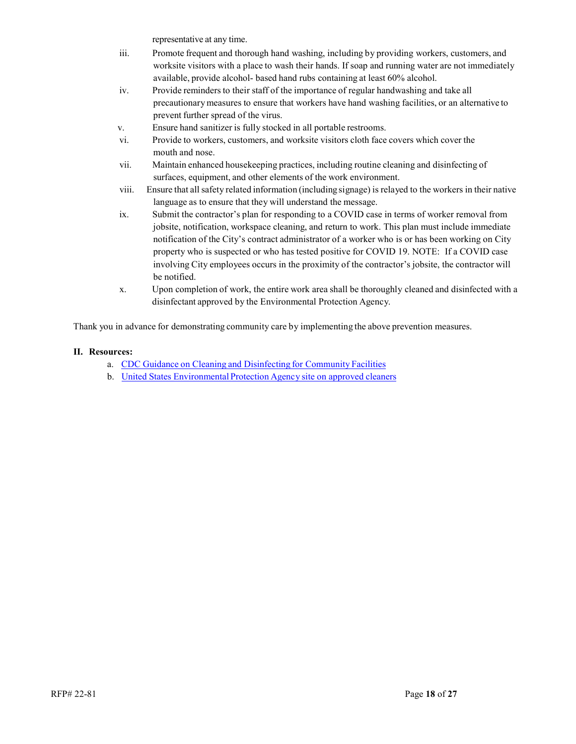representative at any time.

- iii. Promote frequent and thorough hand washing, including by providing workers, customers, and worksite visitors with a place to wash their hands. If soap and running water are not immediately available, provide alcohol- based hand rubs containing at least 60% alcohol.
- iv. Provide reminders to their staff of the importance of regular handwashing and take all precautionarymeasures to ensure that workers have hand washing facilities, or an alternative to prevent further spread of the virus.
- v. Ensure hand sanitizer is fully stocked in all portable restrooms.
- vi. Provide to workers, customers, and worksite visitors cloth face covers which cover the mouth and nose.
- vii. Maintain enhanced housekeeping practices, including routine cleaning and disinfecting of surfaces, equipment, and other elements of the work environment.
- viii. Ensure that all safety related information (including signage) is relayed to the workers in their native language as to ensure that they will understand the message.
- ix. Submit the contractor's plan for responding to a COVID case in terms of worker removal from jobsite, notification, workspace cleaning, and return to work. This plan must include immediate notification of the City's contract administrator of a worker who is or has been working on City property who is suspected or who has tested positive for COVID 19. NOTE: If a COVID case involving City employees occurs in the proximity of the contractor's jobsite, the contractor will be notified.
- x. Upon completion of work, the entire work area shall be thoroughly cleaned and disinfected with a disinfectant approved by the Environmental Protection Agency.

Thank you in advance for demonstrating community care by implementing the above prevention measures.

#### **II. Resources:**

- a. CDC Guidance on Cleaning and [Disinfecting](https://www.cdc.gov/coronavirus/2019-ncov/community/organizations/cleaning-disinfection.html) for Community Facilities
- b. United States [Environmental](https://www.epa.gov/sites/production/files/2020-03/documents/sars-cov-2-list_03-03-2020.pdf) Protection Agency site on approved cleaners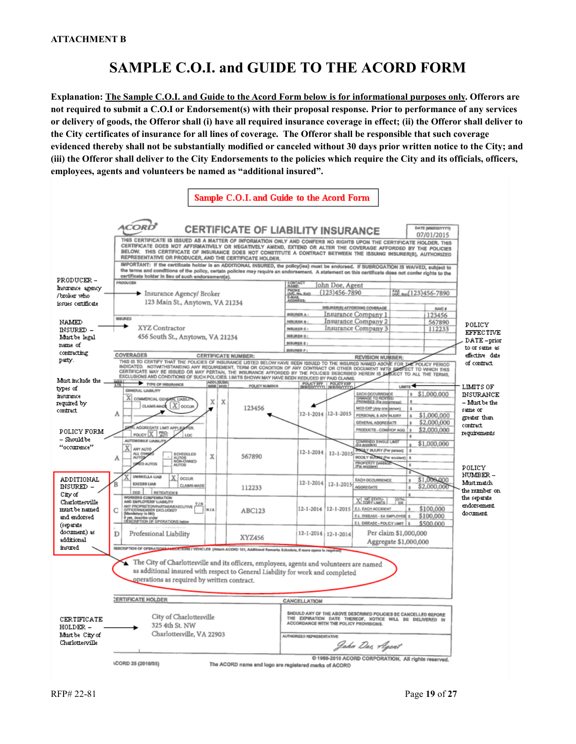## **SAMPLE C.O.I. and GUIDE TO THE ACORD FORM**

**Explanation: The Sample C.O.I. and Guide to the Acord Form below is for informational purposes only. Offerors are not required to submit a C.O.I or Endorsement(s) with their proposal response. Prior to performance of any services or delivery of goods, the Offeror shall (i) have all required insurance coverage in effect; (ii) the Offeror shall deliver to the City certificates of insurance for all lines of coverage. The Offeror shall be responsible that such coverage evidenced thereby shall not be substantially modified or canceled without 30 days prior written notice to the City; and (iii) the Offeror shall deliver to the City Endorsements to the policies which require the City and its officials, officers, employees, agents and volunteers be named as "additional insured".** 

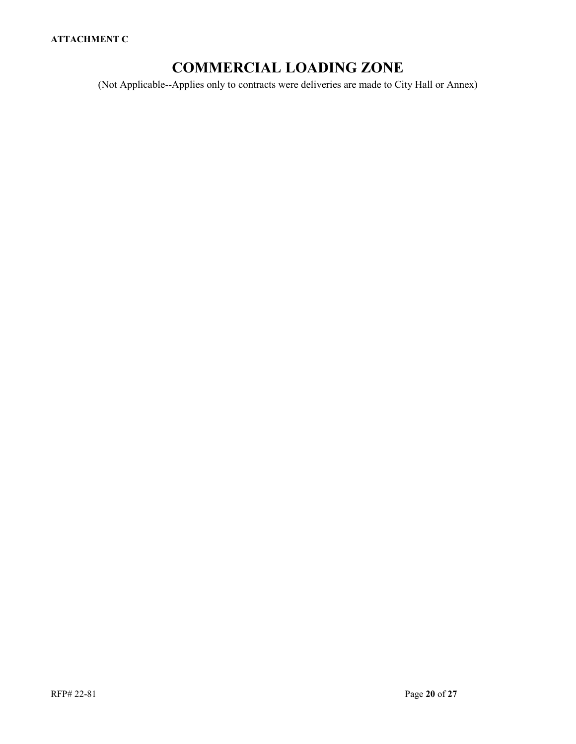## **COMMERCIAL LOADING ZONE**

(Not Applicable--Applies only to contracts were deliveries are made to City Hall or Annex)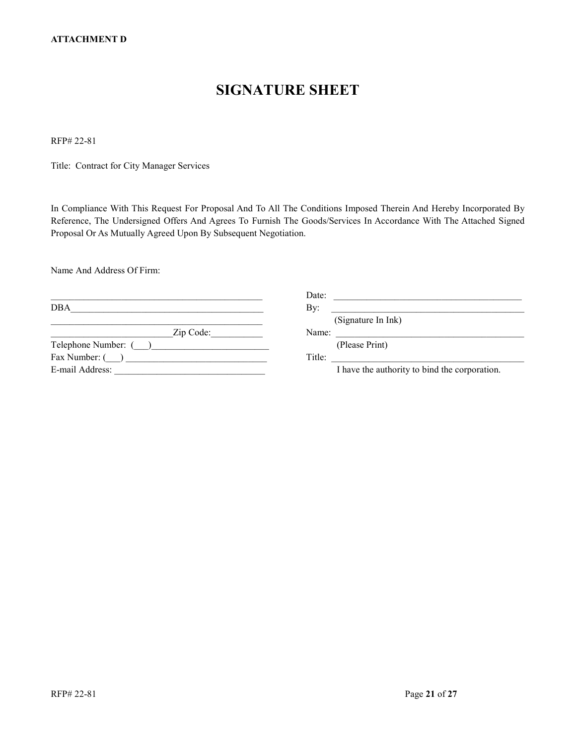## **SIGNATURE SHEET**

RFP# 22-81

Title: Contract for City Manager Services

In Compliance With This Request For Proposal And To All The Conditions Imposed Therein And Hereby Incorporated By Reference, The Undersigned Offers And Agrees To Furnish The Goods/Services In Accordance With The Attached Signed Proposal Or As Mutually Agreed Upon By Subsequent Negotiation.

Name And Address Of Firm:

|                      | Date:                                         |  |
|----------------------|-----------------------------------------------|--|
| DBA                  | By:                                           |  |
|                      | (Signature In Ink)                            |  |
| Zip Code:            | Name:                                         |  |
| Telephone Number: () | (Please Print)                                |  |
| Fax Number: ()       | Title:                                        |  |
| E-mail Address:      | I have the authority to bind the corporation. |  |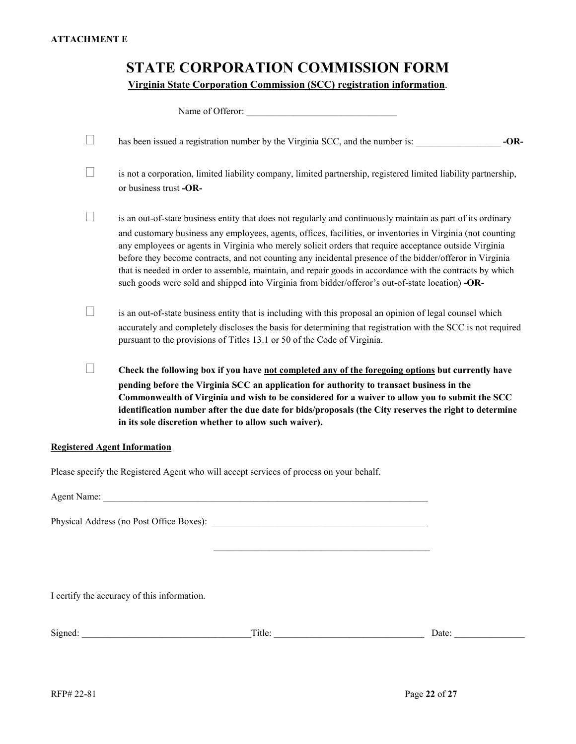### **STATE CORPORATION COMMISSION FORM**

**Virginia State Corporation Commission (SCC) registration information**.

|    | Name of Offeror:                                                                                                                                                                                                                                                                                                                                                                                                                                                                                                                                                                                                                                                   |
|----|--------------------------------------------------------------------------------------------------------------------------------------------------------------------------------------------------------------------------------------------------------------------------------------------------------------------------------------------------------------------------------------------------------------------------------------------------------------------------------------------------------------------------------------------------------------------------------------------------------------------------------------------------------------------|
| F. | $-OR-$<br>has been issued a registration number by the Virginia SCC, and the number is:                                                                                                                                                                                                                                                                                                                                                                                                                                                                                                                                                                            |
|    | is not a corporation, limited liability company, limited partnership, registered limited liability partnership,<br>or business trust -OR-                                                                                                                                                                                                                                                                                                                                                                                                                                                                                                                          |
|    | is an out-of-state business entity that does not regularly and continuously maintain as part of its ordinary<br>and customary business any employees, agents, offices, facilities, or inventories in Virginia (not counting<br>any employees or agents in Virginia who merely solicit orders that require acceptance outside Virginia<br>before they become contracts, and not counting any incidental presence of the bidder/offeror in Virginia<br>that is needed in order to assemble, maintain, and repair goods in accordance with the contracts by which<br>such goods were sold and shipped into Virginia from bidder/offeror's out-of-state location) -OR- |
|    | is an out-of-state business entity that is including with this proposal an opinion of legal counsel which<br>accurately and completely discloses the basis for determining that registration with the SCC is not required<br>pursuant to the provisions of Titles 13.1 or 50 of the Code of Virginia.                                                                                                                                                                                                                                                                                                                                                              |
|    | Check the following box if you have not completed any of the foregoing options but currently have<br>pending before the Virginia SCC an application for authority to transact business in the<br>Commonwealth of Virginia and wish to be considered for a waiver to allow you to submit the SCC<br>identification number after the due date for bids/proposals (the City reserves the right to determine<br>in its sole discretion whether to allow such waiver).                                                                                                                                                                                                  |
|    | <b>Registered Agent Information</b>                                                                                                                                                                                                                                                                                                                                                                                                                                                                                                                                                                                                                                |
|    | Please specify the Registered Agent who will accept services of process on your behalf.                                                                                                                                                                                                                                                                                                                                                                                                                                                                                                                                                                            |
|    | Agent Name: Name and Agent Name and Agent Name and Agent Name and Agent Name and Agent Name and Agent Name and Agent Name and Agent Name and Agent Name and Agent Name and Agent Name and Agent Name and Agent Name and Agent                                                                                                                                                                                                                                                                                                                                                                                                                                      |
|    | Physical Address (no Post Office Boxes):                                                                                                                                                                                                                                                                                                                                                                                                                                                                                                                                                                                                                           |

I certify the accuracy of this information.

| Signe<br>ue<br>Uale.<br>--- |
|-----------------------------|
|-----------------------------|

 $\overline{\phantom{a}}$  ,  $\overline{\phantom{a}}$  ,  $\overline{\phantom{a}}$  ,  $\overline{\phantom{a}}$  ,  $\overline{\phantom{a}}$  ,  $\overline{\phantom{a}}$  ,  $\overline{\phantom{a}}$  ,  $\overline{\phantom{a}}$  ,  $\overline{\phantom{a}}$  ,  $\overline{\phantom{a}}$  ,  $\overline{\phantom{a}}$  ,  $\overline{\phantom{a}}$  ,  $\overline{\phantom{a}}$  ,  $\overline{\phantom{a}}$  ,  $\overline{\phantom{a}}$  ,  $\overline{\phantom{a}}$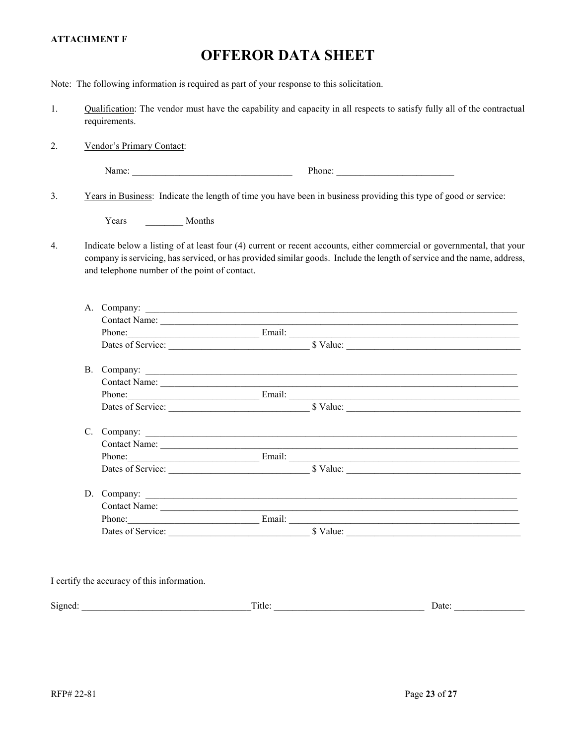#### **ATTACHMENT F**

# **OFFEROR DATA SHEET**

|    |                                               |  | Note: The following information is required as part of your response to this solicitation.                                                                                                                                                        |                       |
|----|-----------------------------------------------|--|---------------------------------------------------------------------------------------------------------------------------------------------------------------------------------------------------------------------------------------------------|-----------------------|
| 1. | requirements.                                 |  | Qualification: The vendor must have the capability and capacity in all respects to satisfy fully all of the contractual                                                                                                                           |                       |
| 2. | Vendor's Primary Contact:                     |  |                                                                                                                                                                                                                                                   |                       |
|    |                                               |  | Phone:                                                                                                                                                                                                                                            |                       |
| 3. |                                               |  | Years in Business: Indicate the length of time you have been in business providing this type of good or service:                                                                                                                                  |                       |
|    | Years Months                                  |  |                                                                                                                                                                                                                                                   |                       |
| 4. | and telephone number of the point of contact. |  | Indicate below a listing of at least four (4) current or recent accounts, either commercial or governmental, that your<br>company is servicing, has serviced, or has provided similar goods. Include the length of service and the name, address, |                       |
|    |                                               |  | A. Company:<br>Phone: Email: Email: Email: Email: Email: Email: Email: Email: Email: Email: Email: Email: Email: Email: Email: Email: Email: Email: Email: Email: Email: Email: Email: Email: Email: Email: Email: Email: Email: Email: Email     |                       |
|    |                                               |  |                                                                                                                                                                                                                                                   |                       |
|    |                                               |  | Phone: Email: Email: Email: Email: Email: Email: Email: Email: Email: Email: Email: Email: Email: Email: Email: Email: Email: Email: Email: Email: Email: Email: Email: Email: Email: Email: Email: Email: Email: Email: Email                    |                       |
|    |                                               |  |                                                                                                                                                                                                                                                   |                       |
|    |                                               |  | Dates of Service: Sandwich States States States States States States States States States States States States States States States States States States States States States States States States States States States States                    |                       |
|    |                                               |  | D. Company:                                                                                                                                                                                                                                       |                       |
|    |                                               |  | Phone: Email: Email: Email: Email: Email: Email: Email: Email: Email: Email: Email: Email: Email: Email: Email: Email: Email: Email: Email: Email: Email: Email: Email: Email: Email: Email: Email: Email: Email: Email: Email                    |                       |
|    | I certify the accuracy of this information.   |  | $\Gamma$ Title:                                                                                                                                                                                                                                   | Date: $\qquad \qquad$ |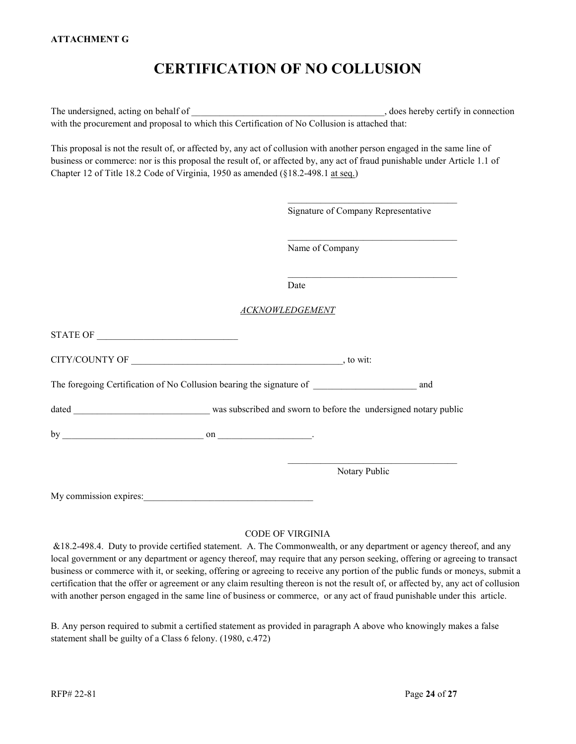## **CERTIFICATION OF NO COLLUSION**

The undersigned, acting on behalf of  $\blacksquare$ with the procurement and proposal to which this Certification of No Collusion is attached that:

This proposal is not the result of, or affected by, any act of collusion with another person engaged in the same line of business or commerce: nor is this proposal the result of, or affected by, any act of fraud punishable under Article 1.1 of Chapter 12 of Title 18.2 Code of Virginia, 1950 as amended (§18.2-498.1 at seq.)

\_\_\_\_\_\_\_\_\_\_\_\_\_\_\_\_\_\_\_\_\_\_\_\_\_\_\_\_\_\_\_\_\_\_\_\_

|                        | Signature of Company Representative                                                                                                      |  |
|------------------------|------------------------------------------------------------------------------------------------------------------------------------------|--|
|                        | <u> 1989 - Johann Stoff, deutscher Stoff, der Stoff, der Stoff, der Stoff, der Stoff, der Stoff, der Stoff, der S</u><br>Name of Company |  |
|                        | Date                                                                                                                                     |  |
|                        | <b>ACKNOWLEDGEMENT</b>                                                                                                                   |  |
|                        |                                                                                                                                          |  |
|                        |                                                                                                                                          |  |
|                        | The foregoing Certification of No Collusion bearing the signature of and and                                                             |  |
|                        |                                                                                                                                          |  |
|                        |                                                                                                                                          |  |
|                        | Notary Public                                                                                                                            |  |
| My commission expires: |                                                                                                                                          |  |

#### CODE OF VIRGINIA

&18.2-498.4. Duty to provide certified statement. A. The Commonwealth, or any department or agency thereof, and any local government or any department or agency thereof, may require that any person seeking, offering or agreeing to transact business or commerce with it, or seeking, offering or agreeing to receive any portion of the public funds or moneys, submit a certification that the offer or agreement or any claim resulting thereon is not the result of, or affected by, any act of collusion with another person engaged in the same line of business or commerce, or any act of fraud punishable under this article.

B. Any person required to submit a certified statement as provided in paragraph A above who knowingly makes a false statement shall be guilty of a Class 6 felony. (1980, c.472)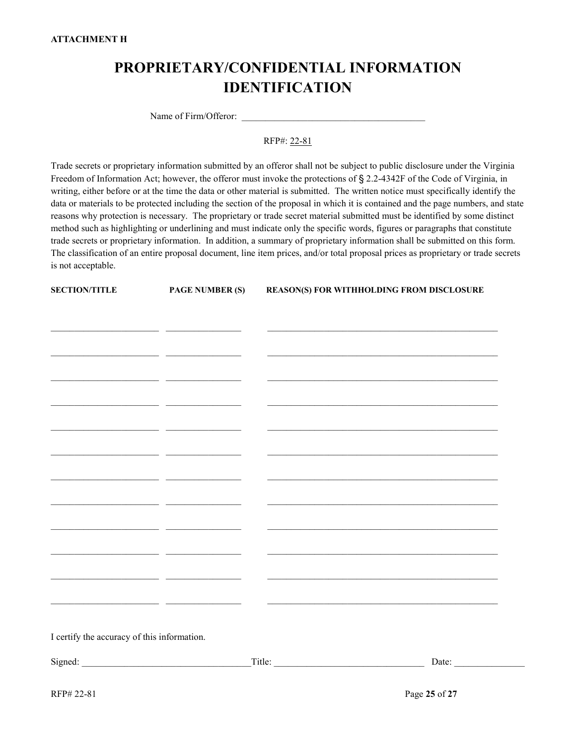## **PROPRIETARY/CONFIDENTIAL INFORMATION IDENTIFICATION**

Name of Firm/Offeror:

RFP#: 22-81

Trade secrets or proprietary information submitted by an offeror shall not be subject to public disclosure under the Virginia Freedom of Information Act; however, the offeror must invoke the protections of § 2.2-4342F of the Code of Virginia, in writing, either before or at the time the data or other material is submitted. The written notice must specifically identify the data or materials to be protected including the section of the proposal in which it is contained and the page numbers, and state reasons why protection is necessary. The proprietary or trade secret material submitted must be identified by some distinct method such as highlighting or underlining and must indicate only the specific words, figures or paragraphs that constitute trade secrets or proprietary information. In addition, a summary of proprietary information shall be submitted on this form. The classification of an entire proposal document, line item prices, and/or total proposal prices as proprietary or trade secrets is not acceptable.

| <b>SECTION/TITLE</b>                          | <b>PAGE NUMBER (S)</b>                                                                                                | REASON(S) FOR WITHHOLDING FROM DISCLOSURE |
|-----------------------------------------------|-----------------------------------------------------------------------------------------------------------------------|-------------------------------------------|
|                                               |                                                                                                                       |                                           |
|                                               |                                                                                                                       |                                           |
|                                               |                                                                                                                       |                                           |
| <u> 1989 - Johann Barn, fransk politik (</u>  |                                                                                                                       |                                           |
|                                               | <u> 2000 - 2000 - 2000 - 2000 - 2000 - 2000 - 2000 - 2000 - 2000 - 2000 - 2000 - 2000 - 2000 - 2000 - 2000 - 200</u>  |                                           |
|                                               |                                                                                                                       |                                           |
| <u> 1989 - Johann Stein, fransk politik (</u> | <u> 1989 - Johann Harrison, francuski filozof (</u>                                                                   |                                           |
|                                               | <u> 2000 - Jan Barbarat, politik eta politik eta politik eta politik eta politik eta politik eta politik eta poli</u> |                                           |
|                                               |                                                                                                                       |                                           |
|                                               |                                                                                                                       |                                           |
| <u> 1989 - Johann Barnett, fransk politik</u> | $\sim$ 100 $\mu$ m $\sim$                                                                                             |                                           |
|                                               |                                                                                                                       |                                           |
|                                               |                                                                                                                       |                                           |
|                                               |                                                                                                                       |                                           |
| I certify the accuracy of this information.   |                                                                                                                       |                                           |
|                                               | Signed:                                                                                                               | $\boxed{\text{Title:}}$<br>Date:          |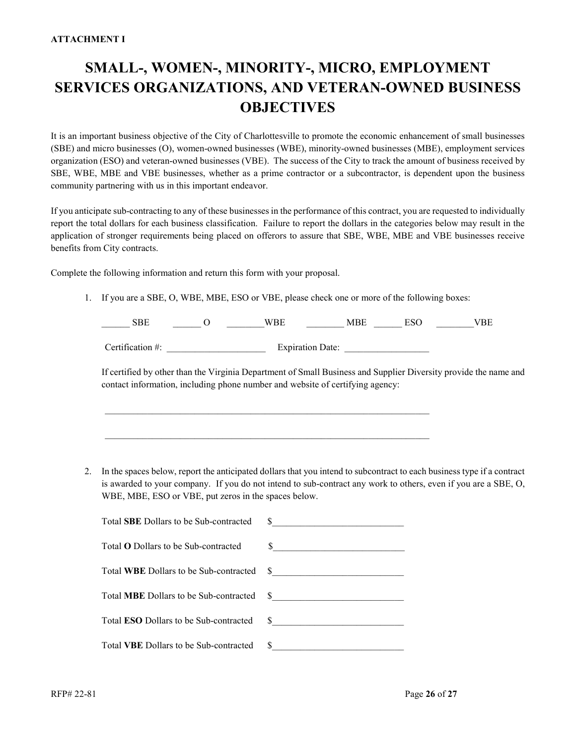# **SMALL-, WOMEN-, MINORITY-, MICRO, EMPLOYMENT SERVICES ORGANIZATIONS, AND VETERAN-OWNED BUSINESS OBJECTIVES**

It is an important business objective of the City of Charlottesville to promote the economic enhancement of small businesses (SBE) and micro businesses (O), women-owned businesses (WBE), minority-owned businesses (MBE), employment services organization (ESO) and veteran-owned businesses (VBE). The success of the City to track the amount of business received by SBE, WBE, MBE and VBE businesses, whether as a prime contractor or a subcontractor, is dependent upon the business community partnering with us in this important endeavor.

If you anticipate sub-contracting to any of these businesses in the performance of this contract, you are requested to individually report the total dollars for each business classification. Failure to report the dollars in the categories below may result in the application of stronger requirements being placed on offerors to assure that SBE, WBE, MBE and VBE businesses receive benefits from City contracts.

Complete the following information and return this form with your proposal.

1. If you are a SBE, O, WBE, MBE, ESO or VBE, please check one or more of the following boxes:

\_\_\_\_\_\_\_\_\_\_\_\_\_\_\_\_\_\_\_\_\_\_\_\_\_\_\_\_\_\_\_\_\_\_\_\_\_\_\_\_\_\_\_\_\_\_\_\_\_\_\_\_\_\_\_\_\_\_\_\_\_\_\_\_\_\_\_\_\_

\_\_\_\_\_\_\_\_\_\_\_\_\_\_\_\_\_\_\_\_\_\_\_\_\_\_\_\_\_\_\_\_\_\_\_\_\_\_\_\_\_\_\_\_\_\_\_\_\_\_\_\_\_\_\_\_\_\_\_\_\_\_\_\_\_\_\_\_\_

| SRF              | WRF                     | FS 6 |  |
|------------------|-------------------------|------|--|
|                  |                         |      |  |
| Certification #: | <b>Expiration Date:</b> |      |  |

If certified by other than the Virginia Department of Small Business and Supplier Diversity provide the name and contact information, including phone number and website of certifying agency:

2. In the spaces below, report the anticipated dollars that you intend to subcontract to each business type if a contract is awarded to your company. If you do not intend to sub-contract any work to others, even if you are a SBE, O, WBE, MBE, ESO or VBE, put zeros in the spaces below.

| Total SBE Dollars to be Sub-contracted        |                                                                                                                       |
|-----------------------------------------------|-----------------------------------------------------------------------------------------------------------------------|
| Total <b>O</b> Dollars to be Sub-contracted   |                                                                                                                       |
| Total WBE Dollars to be Sub-contracted        | <u> 1980 - John Stone, Amerikaans van die Stone van die Stone van die Stone van die Stone van die Stone van die S</u> |
| Total MBE Dollars to be Sub-contracted        |                                                                                                                       |
| Total <b>ESO</b> Dollars to be Sub-contracted |                                                                                                                       |
| Total VBE Dollars to be Sub-contracted        |                                                                                                                       |